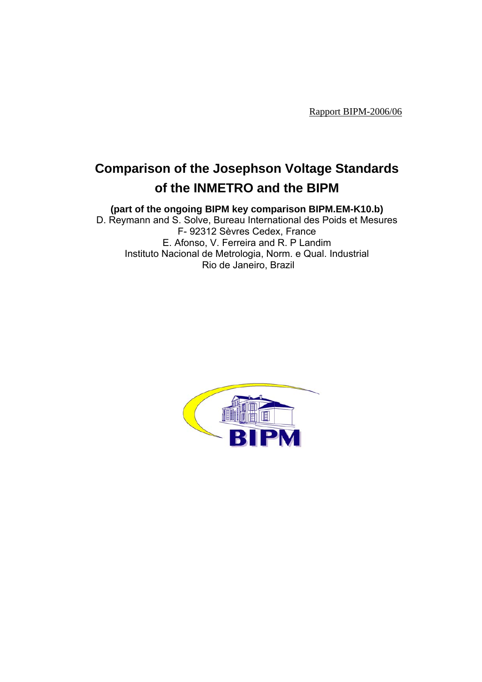Rapport BIPM-2006/06

# **Comparison of the Josephson Voltage Standards of the INMETRO and the BIPM**

**(part of the ongoing BIPM key comparison BIPM.EM-K10.b)**

D. Reymann and S. Solve, Bureau International des Poids et Mesures F- 92312 Sèvres Cedex, France E. Afonso, V. Ferreira and R. P Landim Instituto Nacional de Metrologia, Norm. e Qual. Industrial Rio de Janeiro, Brazil

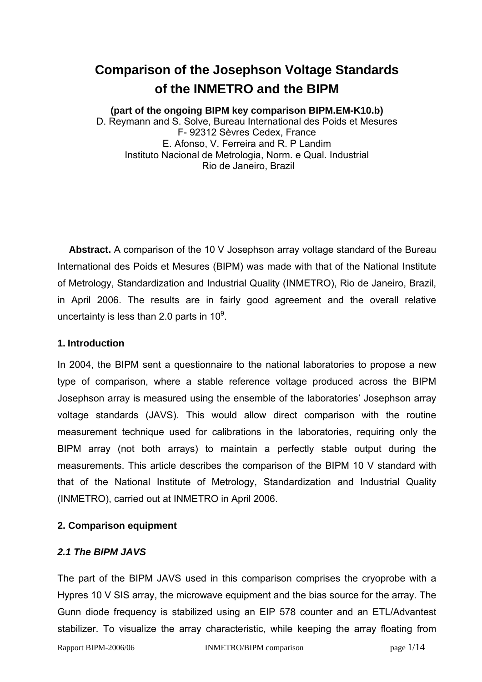# **Comparison of the Josephson Voltage Standards of the INMETRO and the BIPM**

## **(part of the ongoing BIPM key comparison BIPM.EM-K10.b)**

D. Reymann and S. Solve, Bureau International des Poids et Mesures F- 92312 Sèvres Cedex, France E. Afonso, V. Ferreira and R. P Landim Instituto Nacional de Metrologia, Norm. e Qual. Industrial Rio de Janeiro, Brazil

**Abstract.** A comparison of the 10 V Josephson array voltage standard of the Bureau International des Poids et Mesures (BIPM) was made with that of the National Institute of Metrology, Standardization and Industrial Quality (INMETRO), Rio de Janeiro, Brazil, in April 2006. The results are in fairly good agreement and the overall relative uncertainty is less than 2.0 parts in 10 $^9$ .

#### **1. Introduction**

In 2004, the BIPM sent a questionnaire to the national laboratories to propose a new type of comparison, where a stable reference voltage produced across the BIPM Josephson array is measured using the ensemble of the laboratories' Josephson array voltage standards (JAVS). This would allow direct comparison with the routine measurement technique used for calibrations in the laboratories, requiring only the BIPM array (not both arrays) to maintain a perfectly stable output during the measurements. This article describes the comparison of the BIPM 10 V standard with that of the National Institute of Metrology, Standardization and Industrial Quality (INMETRO), carried out at INMETRO in April 2006.

## **2. Comparison equipment**

#### *2.1 The BIPM JAVS*

The part of the BIPM JAVS used in this comparison comprises the cryoprobe with a Hypres 10 V SIS array, the microwave equipment and the bias source for the array. The Gunn diode frequency is stabilized using an EIP 578 counter and an ETL/Advantest stabilizer. To visualize the array characteristic, while keeping the array floating from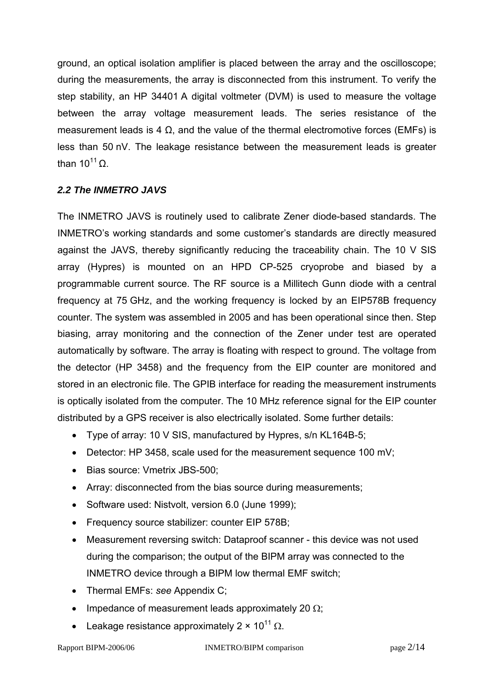ground, an optical isolation amplifier is placed between the array and the oscilloscope; during the measurements, the array is disconnected from this instrument. To verify the step stability, an HP 34401 A digital voltmeter (DVM) is used to measure the voltage between the array voltage measurement leads. The series resistance of the measurement leads is 4  $\Omega$ , and the value of the thermal electromotive forces (EMFs) is less than 50 nV. The leakage resistance between the measurement leads is greater than  $10^{11}$  O

## *2.2 The INMETRO JAVS*

The INMETRO JAVS is routinely used to calibrate Zener diode-based standards. The INMETRO's working standards and some customer's standards are directly measured against the JAVS, thereby significantly reducing the traceability chain. The 10 V SIS array (Hypres) is mounted on an HPD CP-525 cryoprobe and biased by a programmable current source. The RF source is a Millitech Gunn diode with a central frequency at 75 GHz, and the working frequency is locked by an EIP578B frequency counter. The system was assembled in 2005 and has been operational since then. Step biasing, array monitoring and the connection of the Zener under test are operated automatically by software. The array is floating with respect to ground. The voltage from the detector (HP 3458) and the frequency from the EIP counter are monitored and stored in an electronic file. The GPIB interface for reading the measurement instruments is optically isolated from the computer. The 10 MHz reference signal for the EIP counter distributed by a GPS receiver is also electrically isolated. Some further details:

- Type of array: 10 V SIS, manufactured by Hypres, s/n KL164B-5;
- Detector: HP 3458, scale used for the measurement sequence 100 mV;
- Bias source: Vmetrix JBS-500;
- Array: disconnected from the bias source during measurements;
- Software used: Nistvolt, version 6.0 (June 1999);
- Frequency source stabilizer: counter EIP 578B;
- Measurement reversing switch: Dataproof scanner this device was not used during the comparison; the output of the BIPM array was connected to the INMETRO device through a BIPM low thermal EMF switch;
- Thermal EMFs: *see* Appendix C;
- Impedance of measurement leads approximately 20  $\Omega$ ;
- Leakage resistance approximately 2  $\times$  10<sup>11</sup> Ω.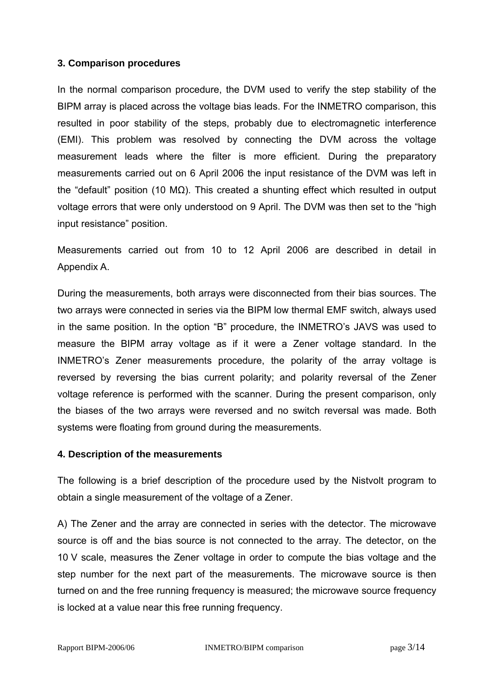### **3. Comparison procedures**

In the normal comparison procedure, the DVM used to verify the step stability of the BIPM array is placed across the voltage bias leads. For the INMETRO comparison, this resulted in poor stability of the steps, probably due to electromagnetic interference (EMI). This problem was resolved by connecting the DVM across the voltage measurement leads where the filter is more efficient. During the preparatory measurements carried out on 6 April 2006 the input resistance of the DVM was left in the "default" position (10 MΩ). This created a shunting effect which resulted in output voltage errors that were only understood on 9 April. The DVM was then set to the "high input resistance" position.

Measurements carried out from 10 to 12 April 2006 are described in detail in Appendix A.

During the measurements, both arrays were disconnected from their bias sources. The two arrays were connected in series via the BIPM low thermal EMF switch, always used in the same position. In the option "B" procedure, the INMETRO's JAVS was used to measure the BIPM array voltage as if it were a Zener voltage standard. In the INMETRO's Zener measurements procedure, the polarity of the array voltage is reversed by reversing the bias current polarity; and polarity reversal of the Zener voltage reference is performed with the scanner. During the present comparison, only the biases of the two arrays were reversed and no switch reversal was made. Both systems were floating from ground during the measurements.

#### **4. Description of the measurements**

The following is a brief description of the procedure used by the Nistvolt program to obtain a single measurement of the voltage of a Zener.

A) The Zener and the array are connected in series with the detector. The microwave source is off and the bias source is not connected to the array. The detector, on the 10 V scale, measures the Zener voltage in order to compute the bias voltage and the step number for the next part of the measurements. The microwave source is then turned on and the free running frequency is measured; the microwave source frequency is locked at a value near this free running frequency.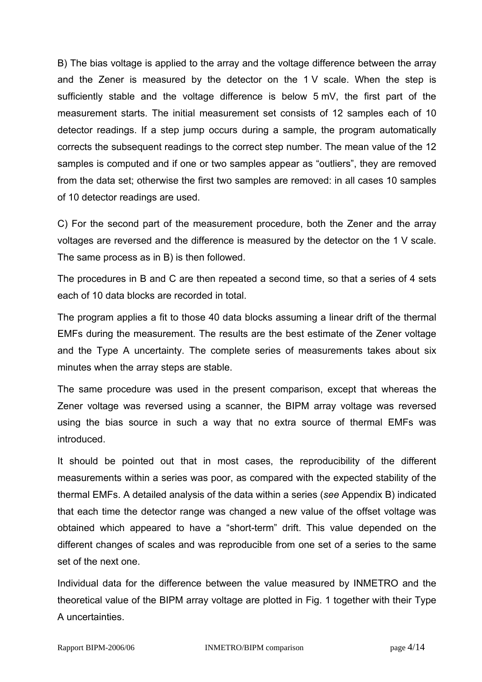B) The bias voltage is applied to the array and the voltage difference between the array and the Zener is measured by the detector on the 1 V scale. When the step is sufficiently stable and the voltage difference is below 5 mV, the first part of the measurement starts. The initial measurement set consists of 12 samples each of 10 detector readings. If a step jump occurs during a sample, the program automatically corrects the subsequent readings to the correct step number. The mean value of the 12 samples is computed and if one or two samples appear as "outliers", they are removed from the data set; otherwise the first two samples are removed: in all cases 10 samples of 10 detector readings are used.

C) For the second part of the measurement procedure, both the Zener and the array voltages are reversed and the difference is measured by the detector on the 1 V scale. The same process as in B) is then followed.

The procedures in B and C are then repeated a second time, so that a series of 4 sets each of 10 data blocks are recorded in total.

The program applies a fit to those 40 data blocks assuming a linear drift of the thermal EMFs during the measurement. The results are the best estimate of the Zener voltage and the Type A uncertainty. The complete series of measurements takes about six minutes when the array steps are stable.

The same procedure was used in the present comparison, except that whereas the Zener voltage was reversed using a scanner, the BIPM array voltage was reversed using the bias source in such a way that no extra source of thermal EMFs was introduced.

It should be pointed out that in most cases, the reproducibility of the different measurements within a series was poor, as compared with the expected stability of the thermal EMFs. A detailed analysis of the data within a series (*see* Appendix B) indicated that each time the detector range was changed a new value of the offset voltage was obtained which appeared to have a "short-term" drift. This value depended on the different changes of scales and was reproducible from one set of a series to the same set of the next one.

Individual data for the difference between the value measured by INMETRO and the theoretical value of the BIPM array voltage are plotted in Fig. 1 together with their Type A uncertainties.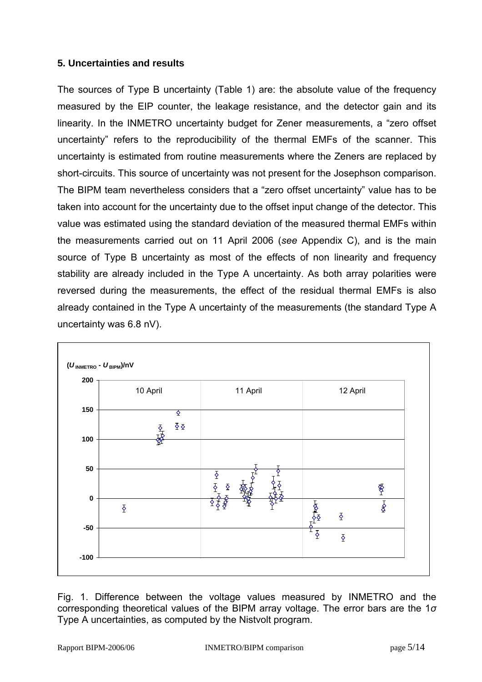## **5. Uncertainties and results**

The sources of Type B uncertainty (Table 1) are: the absolute value of the frequency measured by the EIP counter, the leakage resistance, and the detector gain and its linearity. In the INMETRO uncertainty budget for Zener measurements, a "zero offset uncertainty" refers to the reproducibility of the thermal EMFs of the scanner. This uncertainty is estimated from routine measurements where the Zeners are replaced by short-circuits. This source of uncertainty was not present for the Josephson comparison. The BIPM team nevertheless considers that a "zero offset uncertainty" value has to be taken into account for the uncertainty due to the offset input change of the detector. This value was estimated using the standard deviation of the measured thermal EMFs within the measurements carried out on 11 April 2006 (*see* Appendix C), and is the main source of Type B uncertainty as most of the effects of non linearity and frequency stability are already included in the Type A uncertainty. As both array polarities were reversed during the measurements, the effect of the residual thermal EMFs is also already contained in the Type A uncertainty of the measurements (the standard Type A uncertainty was 6.8 nV).



Fig. 1. Difference between the voltage values measured by INMETRO and the corresponding theoretical values of the BIPM array voltage. The error bars are the 1*σ* Type A uncertainties, as computed by the Nistvolt program.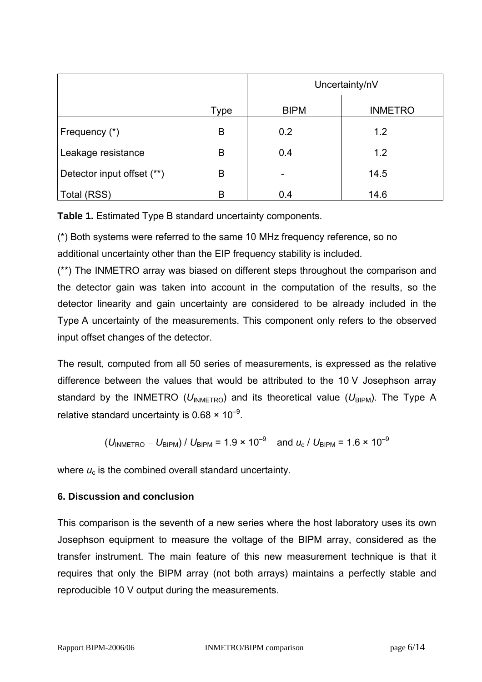|                            |             | Uncertainty/nV |                |
|----------------------------|-------------|----------------|----------------|
|                            | <b>Type</b> | <b>BIPM</b>    | <b>INMETRO</b> |
| Frequency (*)              | B           | 0.2            | 1.2            |
| Leakage resistance         | B           | 0.4            | 1.2            |
| Detector input offset (**) | B           |                | 14.5           |
| Total (RSS)                | B           | 0.4            | 14.6           |

**Table 1.** Estimated Type B standard uncertainty components.

(\*) Both systems were referred to the same 10 MHz frequency reference, so no additional uncertainty other than the EIP frequency stability is included.

(\*\*) The INMETRO array was biased on different steps throughout the comparison and the detector gain was taken into account in the computation of the results, so the detector linearity and gain uncertainty are considered to be already included in the Type A uncertainty of the measurements. This component only refers to the observed input offset changes of the detector.

The result, computed from all 50 series of measurements, is expressed as the relative difference between the values that would be attributed to the 10 V Josephson array standard by the INMETRO ( $U_{INMETRO}$ ) and its theoretical value ( $U_{BIPM}$ ). The Type A relative standard uncertainty is  $0.68 \times 10^{-9}$ .

$$
(U_{\text{INMETRO}} - U_{\text{BIPM}}) / U_{\text{BIPM}} = 1.9 \times 10^{-9}
$$
 and  $u_c / U_{\text{BIPM}} = 1.6 \times 10^{-9}$ 

where  $u_c$  is the combined overall standard uncertainty.

## **6. Discussion and conclusion**

This comparison is the seventh of a new series where the host laboratory uses its own Josephson equipment to measure the voltage of the BIPM array, considered as the transfer instrument. The main feature of this new measurement technique is that it requires that only the BIPM array (not both arrays) maintains a perfectly stable and reproducible 10 V output during the measurements.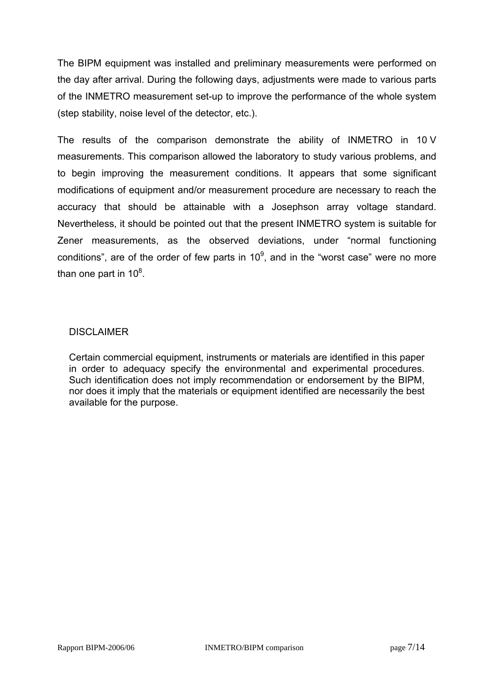The BIPM equipment was installed and preliminary measurements were performed on the day after arrival. During the following days, adjustments were made to various parts of the INMETRO measurement set-up to improve the performance of the whole system (step stability, noise level of the detector, etc.).

The results of the comparison demonstrate the ability of INMETRO in 10 V measurements. This comparison allowed the laboratory to study various problems, and to begin improving the measurement conditions. It appears that some significant modifications of equipment and/or measurement procedure are necessary to reach the accuracy that should be attainable with a Josephson array voltage standard. Nevertheless, it should be pointed out that the present INMETRO system is suitable for Zener measurements, as the observed deviations, under "normal functioning conditions", are of the order of few parts in 10 $^9$ , and in the "worst case" were no more than one part in 10 $8$ .

#### **DISCLAIMER**

Certain commercial equipment, instruments or materials are identified in this paper in order to adequacy specify the environmental and experimental procedures. Such identification does not imply recommendation or endorsement by the BIPM, nor does it imply that the materials or equipment identified are necessarily the best available for the purpose.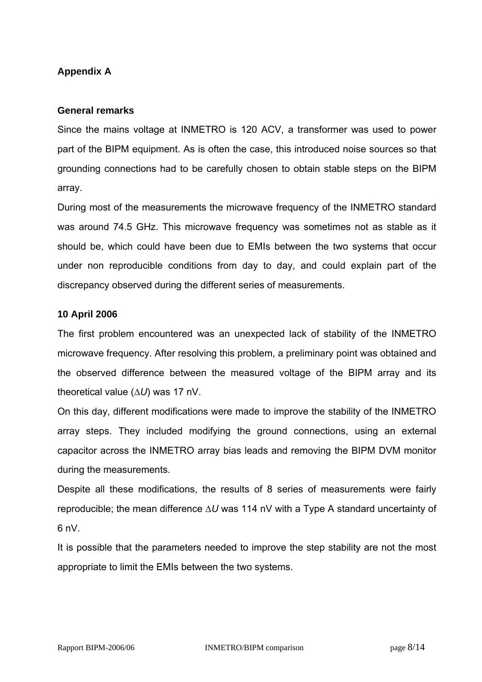## **Appendix A**

#### **General remarks**

Since the mains voltage at INMETRO is 120 ACV, a transformer was used to power part of the BIPM equipment. As is often the case, this introduced noise sources so that grounding connections had to be carefully chosen to obtain stable steps on the BIPM array.

During most of the measurements the microwave frequency of the INMETRO standard was around 74.5 GHz. This microwave frequency was sometimes not as stable as it should be, which could have been due to EMIs between the two systems that occur under non reproducible conditions from day to day, and could explain part of the discrepancy observed during the different series of measurements.

### **10 April 2006**

The first problem encountered was an unexpected lack of stability of the INMETRO microwave frequency. After resolving this problem, a preliminary point was obtained and the observed difference between the measured voltage of the BIPM array and its theoretical value (∆*U*) was 17 nV.

On this day, different modifications were made to improve the stability of the INMETRO array steps. They included modifying the ground connections, using an external capacitor across the INMETRO array bias leads and removing the BIPM DVM monitor during the measurements.

Despite all these modifications, the results of 8 series of measurements were fairly reproducible; the mean difference ∆*U* was 114 nV with a Type A standard uncertainty of  $6 \text{ nV}$ 

It is possible that the parameters needed to improve the step stability are not the most appropriate to limit the EMIs between the two systems.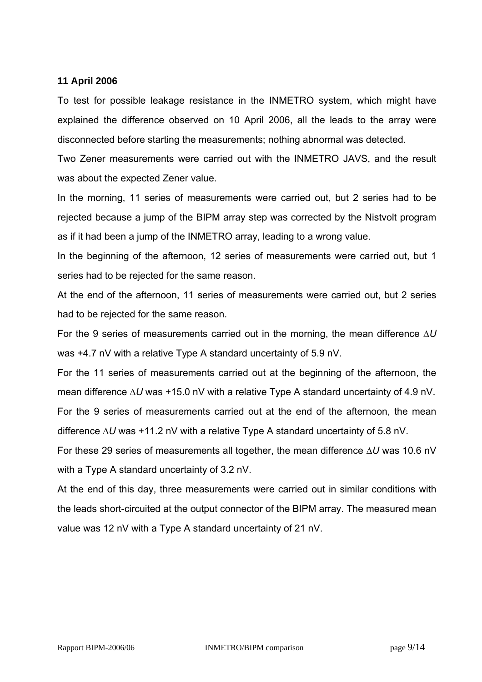#### **11 April 2006**

To test for possible leakage resistance in the INMETRO system, which might have explained the difference observed on 10 April 2006, all the leads to the array were disconnected before starting the measurements; nothing abnormal was detected.

Two Zener measurements were carried out with the INMETRO JAVS, and the result was about the expected Zener value.

In the morning, 11 series of measurements were carried out, but 2 series had to be rejected because a jump of the BIPM array step was corrected by the Nistvolt program as if it had been a jump of the INMETRO array, leading to a wrong value.

In the beginning of the afternoon, 12 series of measurements were carried out, but 1 series had to be rejected for the same reason.

At the end of the afternoon, 11 series of measurements were carried out, but 2 series had to be rejected for the same reason.

For the 9 series of measurements carried out in the morning, the mean difference ∆*U* was +4.7 nV with a relative Type A standard uncertainty of 5.9 nV.

For the 11 series of measurements carried out at the beginning of the afternoon, the mean difference ∆*U* was +15.0 nV with a relative Type A standard uncertainty of 4.9 nV.

For the 9 series of measurements carried out at the end of the afternoon, the mean difference ∆*U* was +11.2 nV with a relative Type A standard uncertainty of 5.8 nV.

For these 29 series of measurements all together, the mean difference ∆*U* was 10.6 nV with a Type A standard uncertainty of 3.2 nV.

At the end of this day, three measurements were carried out in similar conditions with the leads short-circuited at the output connector of the BIPM array. The measured mean value was 12 nV with a Type A standard uncertainty of 21 nV.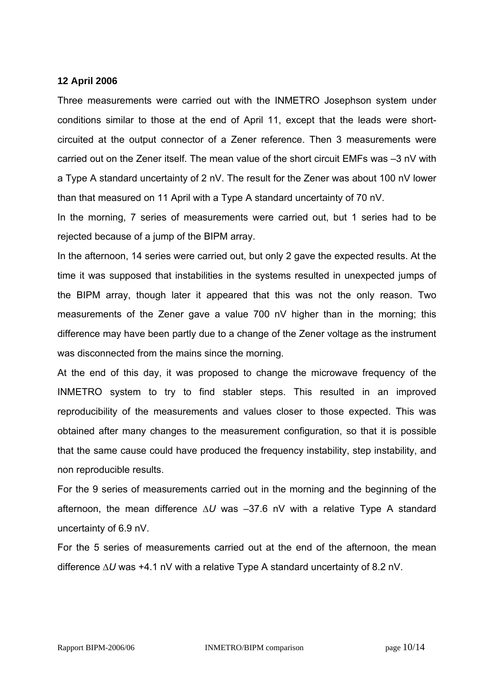#### **12 April 2006**

Three measurements were carried out with the INMETRO Josephson system under conditions similar to those at the end of April 11, except that the leads were shortcircuited at the output connector of a Zener reference. Then 3 measurements were carried out on the Zener itself. The mean value of the short circuit EMFs was –3 nV with a Type A standard uncertainty of 2 nV. The result for the Zener was about 100 nV lower than that measured on 11 April with a Type A standard uncertainty of 70 nV.

In the morning, 7 series of measurements were carried out, but 1 series had to be rejected because of a jump of the BIPM array.

In the afternoon, 14 series were carried out, but only 2 gave the expected results. At the time it was supposed that instabilities in the systems resulted in unexpected jumps of the BIPM array, though later it appeared that this was not the only reason. Two measurements of the Zener gave a value 700 nV higher than in the morning; this difference may have been partly due to a change of the Zener voltage as the instrument was disconnected from the mains since the morning.

At the end of this day, it was proposed to change the microwave frequency of the INMETRO system to try to find stabler steps. This resulted in an improved reproducibility of the measurements and values closer to those expected. This was obtained after many changes to the measurement configuration, so that it is possible that the same cause could have produced the frequency instability, step instability, and non reproducible results.

For the 9 series of measurements carried out in the morning and the beginning of the afternoon, the mean difference ∆*U* was –37.6 nV with a relative Type A standard uncertainty of 6.9 nV.

For the 5 series of measurements carried out at the end of the afternoon, the mean difference ∆*U* was +4.1 nV with a relative Type A standard uncertainty of 8.2 nV.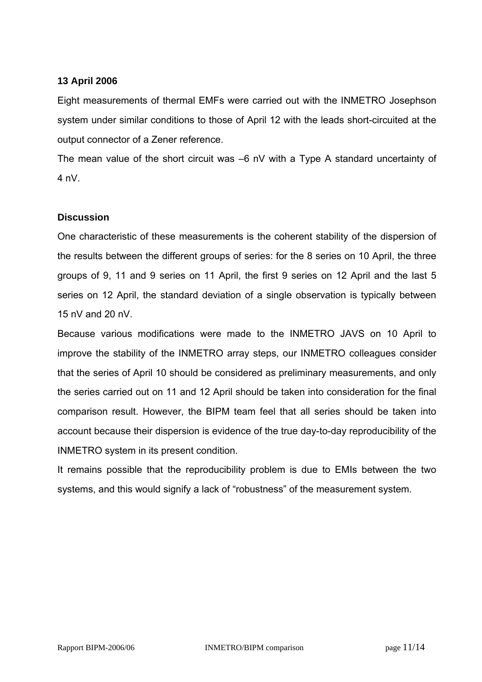#### **13 April 2006**

Eight measurements of thermal EMFs were carried out with the INMETRO Josephson system under similar conditions to those of April 12 with the leads short-circuited at the output connector of a Zener reference.

The mean value of the short circuit was –6 nV with a Type A standard uncertainty of 4 nV.

### **Discussion**

One characteristic of these measurements is the coherent stability of the dispersion of the results between the different groups of series: for the 8 series on 10 April, the three groups of 9, 11 and 9 series on 11 April, the first 9 series on 12 April and the last 5 series on 12 April, the standard deviation of a single observation is typically between 15 nV and 20 nV.

Because various modifications were made to the INMETRO JAVS on 10 April to improve the stability of the INMETRO array steps, our INMETRO colleagues consider that the series of April 10 should be considered as preliminary measurements, and only the series carried out on 11 and 12 April should be taken into consideration for the final comparison result. However, the BIPM team feel that all series should be taken into account because their dispersion is evidence of the true day-to-day reproducibility of the INMETRO system in its present condition.

It remains possible that the reproducibility problem is due to EMIs between the two systems, and this would signify a lack of "robustness" of the measurement system.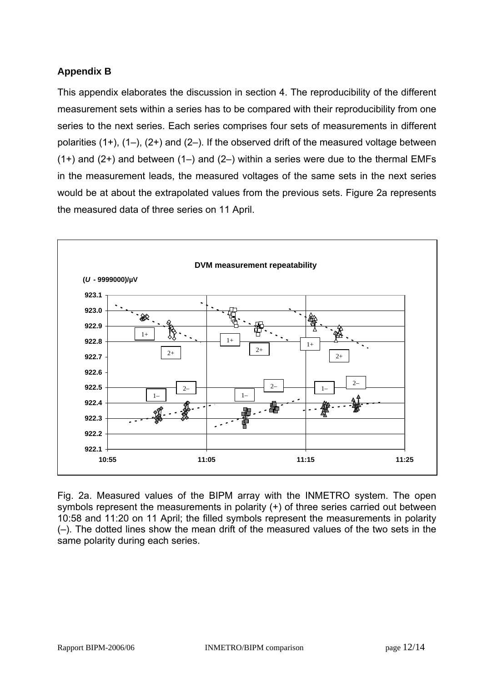## **Appendix B**

This appendix elaborates the discussion in section 4. The reproducibility of the different measurement sets within a series has to be compared with their reproducibility from one series to the next series. Each series comprises four sets of measurements in different polarities  $(1+)$ ,  $(1-)$ ,  $(2+)$  and  $(2-)$ . If the observed drift of the measured voltage between  $(1+)$  and  $(2+)$  and between  $(1-)$  and  $(2-)$  within a series were due to the thermal EMFs in the measurement leads, the measured voltages of the same sets in the next series would be at about the extrapolated values from the previous sets. Figure 2a represents the measured data of three series on 11 April.



Fig. 2a. Measured values of the BIPM array with the INMETRO system. The open symbols represent the measurements in polarity (+) of three series carried out between 10:58 and 11:20 on 11 April; the filled symbols represent the measurements in polarity (–). The dotted lines show the mean drift of the measured values of the two sets in the same polarity during each series.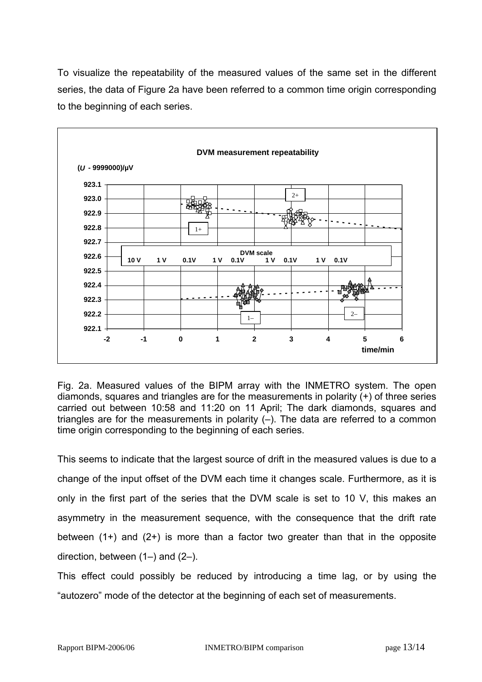To visualize the repeatability of the measured values of the same set in the different series, the data of Figure 2a have been referred to a common time origin corresponding to the beginning of each series.



Fig. 2a. Measured values of the BIPM array with the INMETRO system. The open diamonds, squares and triangles are for the measurements in polarity (+) of three series carried out between 10:58 and 11:20 on 11 April; The dark diamonds, squares and triangles are for the measurements in polarity (–). The data are referred to a common time origin corresponding to the beginning of each series.

This seems to indicate that the largest source of drift in the measured values is due to a change of the input offset of the DVM each time it changes scale. Furthermore, as it is only in the first part of the series that the DVM scale is set to 10 V, this makes an asymmetry in the measurement sequence, with the consequence that the drift rate between (1+) and (2+) is more than a factor two greater than that in the opposite direction, between (1–) and (2–).

This effect could possibly be reduced by introducing a time lag, or by using the "autozero" mode of the detector at the beginning of each set of measurements.